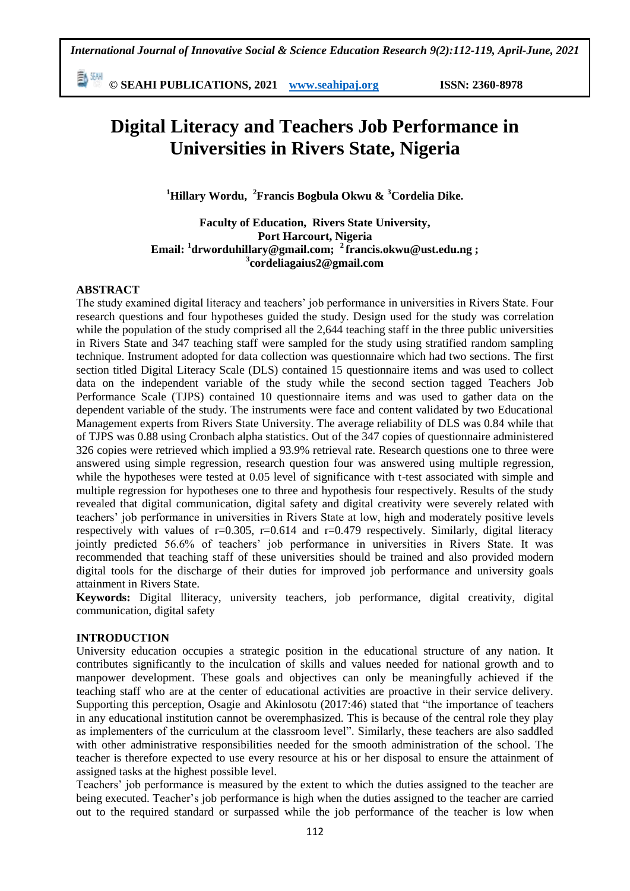勳洲 **© SEAHI PUBLICATIONS, 2021 [www.seahipaj.org](http://www.seahipaj.org/) ISSN: 2360-8978**

# **Digital Literacy and Teachers Job Performance in Universities in Rivers State, Nigeria**

**<sup>1</sup>Hillary Wordu, <sup>2</sup>Francis Bogbula Okwu & <sup>3</sup>Cordelia Dike.**

## **Faculty of Education, Rivers State University, Port Harcourt, Nigeria Email: <sup>1</sup> drworduhillary@gmail.com; <sup>2</sup>francis.okwu@ust.edu.ng ; 3 cordeliagaius2@gmail.com**

## **ABSTRACT**

The study examined digital literacy and teachers' job performance in universities in Rivers State. Four research questions and four hypotheses guided the study. Design used for the study was correlation while the population of the study comprised all the 2,644 teaching staff in the three public universities in Rivers State and 347 teaching staff were sampled for the study using stratified random sampling technique. Instrument adopted for data collection was questionnaire which had two sections. The first section titled Digital Literacy Scale (DLS) contained 15 questionnaire items and was used to collect data on the independent variable of the study while the second section tagged Teachers Job Performance Scale (TJPS) contained 10 questionnaire items and was used to gather data on the dependent variable of the study. The instruments were face and content validated by two Educational Management experts from Rivers State University. The average reliability of DLS was 0.84 while that of TJPS was 0.88 using Cronbach alpha statistics. Out of the 347 copies of questionnaire administered 326 copies were retrieved which implied a 93.9% retrieval rate. Research questions one to three were answered using simple regression, research question four was answered using multiple regression, while the hypotheses were tested at 0.05 level of significance with t-test associated with simple and multiple regression for hypotheses one to three and hypothesis four respectively. Results of the study revealed that digital communication, digital safety and digital creativity were severely related with teachers' job performance in universities in Rivers State at low, high and moderately positive levels respectively with values of  $r=0.305$ ,  $r=0.614$  and  $r=0.479$  respectively. Similarly, digital literacy jointly predicted 56.6% of teachers' job performance in universities in Rivers State. It was recommended that teaching staff of these universities should be trained and also provided modern digital tools for the discharge of their duties for improved job performance and university goals attainment in Rivers State.

**Keywords:** Digital lliteracy, university teachers, job performance, digital creativity, digital communication, digital safety

## **INTRODUCTION**

University education occupies a strategic position in the educational structure of any nation. It contributes significantly to the inculcation of skills and values needed for national growth and to manpower development. These goals and objectives can only be meaningfully achieved if the teaching staff who are at the center of educational activities are proactive in their service delivery. Supporting this perception, Osagie and Akinlosotu (2017:46) stated that "the importance of teachers in any educational institution cannot be overemphasized. This is because of the central role they play as implementers of the curriculum at the classroom level". Similarly, these teachers are also saddled with other administrative responsibilities needed for the smooth administration of the school. The teacher is therefore expected to use every resource at his or her disposal to ensure the attainment of assigned tasks at the highest possible level.

Teachers' job performance is measured by the extent to which the duties assigned to the teacher are being executed. Teacher's job performance is high when the duties assigned to the teacher are carried out to the required standard or surpassed while the job performance of the teacher is low when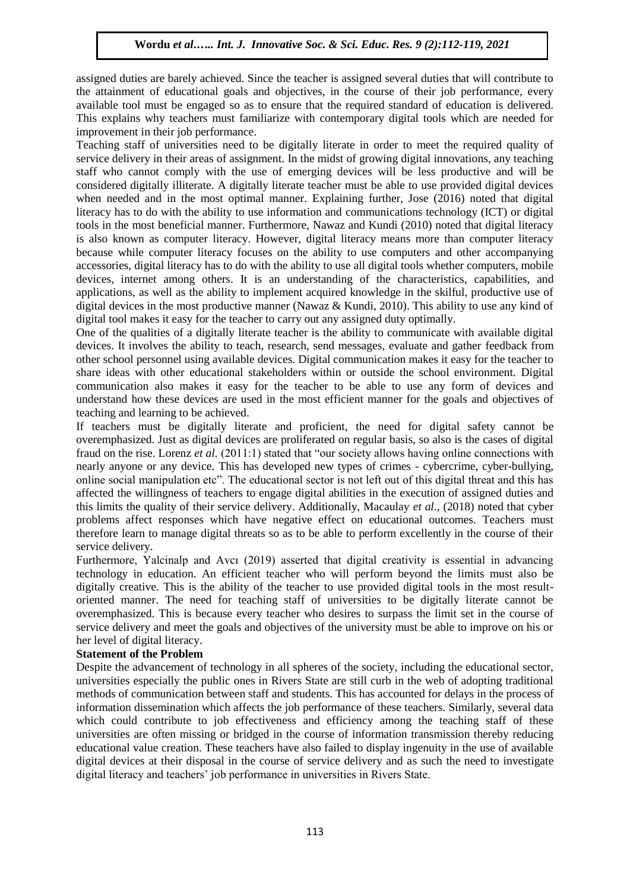assigned duties are barely achieved. Since the teacher is assigned several duties that will contribute to the attainment of educational goals and objectives, in the course of their job performance, every available tool must be engaged so as to ensure that the required standard of education is delivered. This explains why teachers must familiarize with contemporary digital tools which are needed for improvement in their job performance.

Teaching staff of universities need to be digitally literate in order to meet the required quality of service delivery in their areas of assignment. In the midst of growing digital innovations, any teaching staff who cannot comply with the use of emerging devices will be less productive and will be considered digitally illiterate. A digitally literate teacher must be able to use provided digital devices when needed and in the most optimal manner. Explaining further, Jose (2016) noted that digital literacy has to do with the ability to use information and communications technology (ICT) or digital tools in the most beneficial manner. Furthermore, Nawaz and Kundi (2010) noted that digital literacy is also known as computer literacy. However, digital literacy means more than computer literacy because while computer literacy focuses on the ability to use computers and other accompanying accessories, digital literacy has to do with the ability to use all digital tools whether computers, mobile devices, internet among others. It is an understanding of the characteristics, capabilities, and applications, as well as the ability to implement acquired knowledge in the skilful, productive use of digital devices in the most productive manner (Nawaz & Kundi, 2010). This ability to use any kind of digital tool makes it easy for the teacher to carry out any assigned duty optimally.

One of the qualities of a digitally literate teacher is the ability to communicate with available digital devices. It involves the ability to teach, research, send messages, evaluate and gather feedback from other school personnel using available devices. Digital communication makes it easy for the teacher to share ideas with other educational stakeholders within or outside the school environment. Digital communication also makes it easy for the teacher to be able to use any form of devices and understand how these devices are used in the most efficient manner for the goals and objectives of teaching and learning to be achieved.

If teachers must be digitally literate and proficient, the need for digital safety cannot be overemphasized. Just as digital devices are proliferated on regular basis, so also is the cases of digital fraud on the rise. Lorenz *et al.* (2011:1) stated that "our society allows having online connections with nearly anyone or any device. This has developed new types of crimes - cybercrime, cyber-bullying, online social manipulation etc". The educational sector is not left out of this digital threat and this has affected the willingness of teachers to engage digital abilities in the execution of assigned duties and this limits the quality of their service delivery. Additionally, Macaulay *et al.,* (2018) noted that cyber problems affect responses which have negative effect on educational outcomes. Teachers must therefore learn to manage digital threats so as to be able to perform excellently in the course of their service delivery.

Furthermore, Yalcinalp and Avcı (2019) asserted that digital creativity is essential in advancing technology in education. An efficient teacher who will perform beyond the limits must also be digitally creative. This is the ability of the teacher to use provided digital tools in the most resultoriented manner. The need for teaching staff of universities to be digitally literate cannot be overemphasized. This is because every teacher who desires to surpass the limit set in the course of service delivery and meet the goals and objectives of the university must be able to improve on his or her level of digital literacy.

## **Statement of the Problem**

Despite the advancement of technology in all spheres of the society, including the educational sector, universities especially the public ones in Rivers State are still curb in the web of adopting traditional methods of communication between staff and students. This has accounted for delays in the process of information dissemination which affects the job performance of these teachers. Similarly, several data which could contribute to job effectiveness and efficiency among the teaching staff of these universities are often missing or bridged in the course of information transmission thereby reducing educational value creation. These teachers have also failed to display ingenuity in the use of available digital devices at their disposal in the course of service delivery and as such the need to investigate digital literacy and teachers' job performance in universities in Rivers State.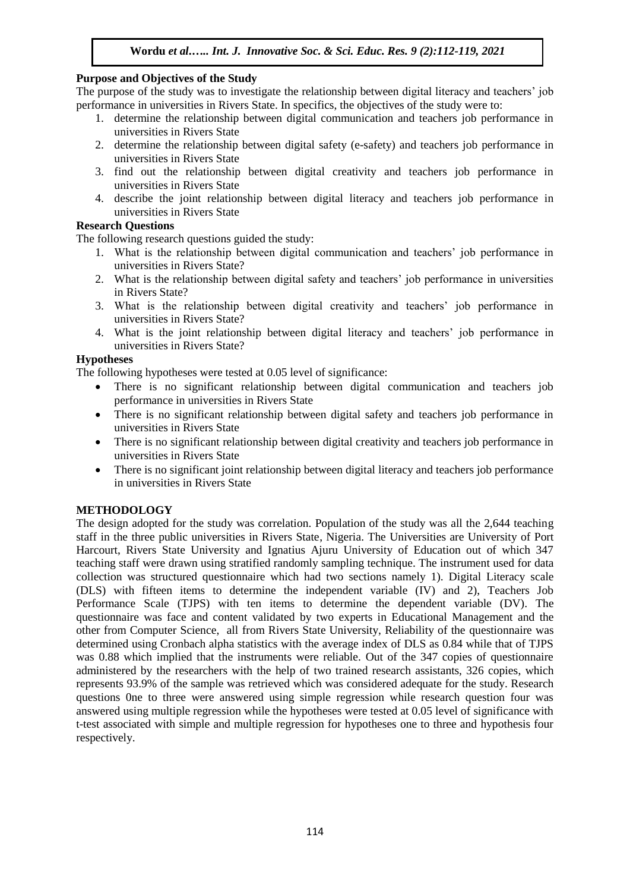## **Purpose and Objectives of the Study**

The purpose of the study was to investigate the relationship between digital literacy and teachers' job performance in universities in Rivers State. In specifics, the objectives of the study were to:

- 1. determine the relationship between digital communication and teachers job performance in universities in Rivers State
- 2. determine the relationship between digital safety (e-safety) and teachers job performance in universities in Rivers State
- 3. find out the relationship between digital creativity and teachers job performance in universities in Rivers State
- 4. describe the joint relationship between digital literacy and teachers job performance in universities in Rivers State

## **Research Questions**

The following research questions guided the study:

- 1. What is the relationship between digital communication and teachers' job performance in universities in Rivers State?
- 2. What is the relationship between digital safety and teachers' job performance in universities in Rivers State?
- 3. What is the relationship between digital creativity and teachers' job performance in universities in Rivers State?
- 4. What is the joint relationship between digital literacy and teachers' job performance in universities in Rivers State?

## **Hypotheses**

The following hypotheses were tested at 0.05 level of significance:

- There is no significant relationship between digital communication and teachers job performance in universities in Rivers State
- There is no significant relationship between digital safety and teachers job performance in universities in Rivers State
- There is no significant relationship between digital creativity and teachers job performance in universities in Rivers State
- There is no significant joint relationship between digital literacy and teachers job performance in universities in Rivers State

# **METHODOLOGY**

The design adopted for the study was correlation. Population of the study was all the 2,644 teaching staff in the three public universities in Rivers State, Nigeria. The Universities are University of Port Harcourt, Rivers State University and Ignatius Ajuru University of Education out of which 347 teaching staff were drawn using stratified randomly sampling technique. The instrument used for data collection was structured questionnaire which had two sections namely 1). Digital Literacy scale (DLS) with fifteen items to determine the independent variable (IV) and 2), Teachers Job Performance Scale (TJPS) with ten items to determine the dependent variable (DV). The questionnaire was face and content validated by two experts in Educational Management and the other from Computer Science, all from Rivers State University, Reliability of the questionnaire was determined using Cronbach alpha statistics with the average index of DLS as 0.84 while that of TJPS was 0.88 which implied that the instruments were reliable. Out of the 347 copies of questionnaire administered by the researchers with the help of two trained research assistants, 326 copies, which represents 93.9% of the sample was retrieved which was considered adequate for the study. Research questions 0ne to three were answered using simple regression while research question four was answered using multiple regression while the hypotheses were tested at 0.05 level of significance with t-test associated with simple and multiple regression for hypotheses one to three and hypothesis four respectively.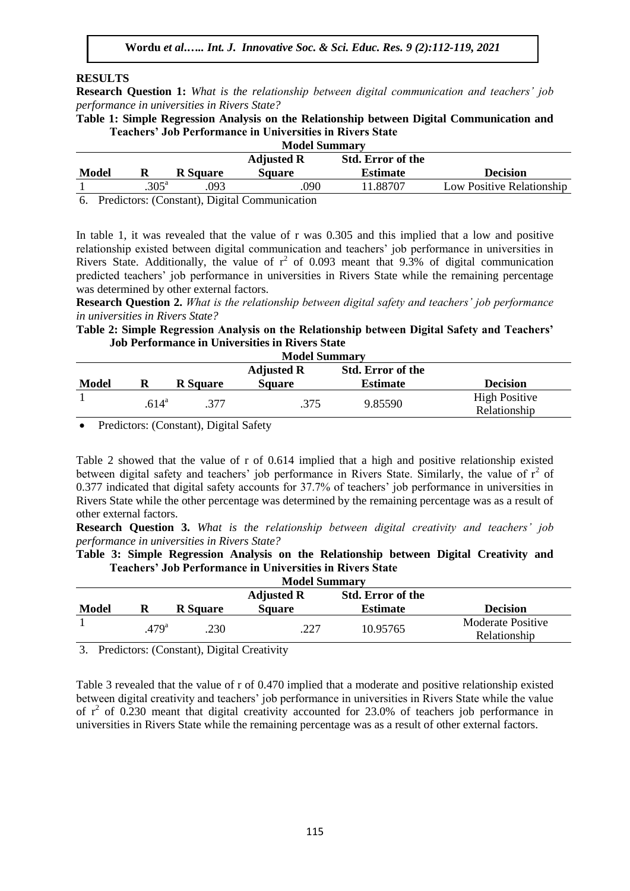#### **RESULTS**

**Research Question 1:** *What is the relationship between digital communication and teachers' job performance in universities in Rivers State?*

**Table 1: Simple Regression Analysis on the Relationship between Digital Communication and Teachers' Job Performance in Universities in Rivers State Model Summary**

| мочег эшпинагу                                |                |                                                         |               |                 |                           |  |  |  |  |  |
|-----------------------------------------------|----------------|---------------------------------------------------------|---------------|-----------------|---------------------------|--|--|--|--|--|
| <b>Std. Error of the</b><br><b>Adjusted R</b> |                |                                                         |               |                 |                           |  |  |  |  |  |
| <b>Model</b>                                  |                | <b>R</b> Square                                         | <b>Square</b> | <b>Estimate</b> | <b>Decision</b>           |  |  |  |  |  |
|                                               | $.305^{\circ}$ | .093                                                    | .090          | 1.88707         | Low Positive Relationship |  |  |  |  |  |
|                                               |                | $\sim$ $\sim$ $\sim$ $\sim$ $\sim$ $\sim$ $\sim$ $\sim$ |               |                 |                           |  |  |  |  |  |

6. Predictors: (Constant), Digital Communication

In table 1, it was revealed that the value of r was 0.305 and this implied that a low and positive relationship existed between digital communication and teachers' job performance in universities in Rivers State. Additionally, the value of  $r^2$  of 0.093 meant that 9.3% of digital communication predicted teachers' job performance in universities in Rivers State while the remaining percentage was determined by other external factors.

**Research Question 2.** *What is the relationship between digital safety and teachers' job performance in universities in Rivers State?*

## **Table 2: Simple Regression Analysis on the Relationship between Digital Safety and Teachers' Job Performance in Universities in Rivers State**

| <b>Model Summary</b>                          |                   |                 |               |                 |                      |  |  |  |  |  |
|-----------------------------------------------|-------------------|-----------------|---------------|-----------------|----------------------|--|--|--|--|--|
| <b>Std. Error of the</b><br><b>Adjusted R</b> |                   |                 |               |                 |                      |  |  |  |  |  |
| <b>Model</b>                                  | R                 | <b>R</b> Square | <b>Square</b> | <b>Estimate</b> | <b>Decision</b>      |  |  |  |  |  |
|                                               | .614 <sup>a</sup> | .377            | .375          | 9.85590         | <b>High Positive</b> |  |  |  |  |  |
|                                               |                   |                 |               |                 | Relationship         |  |  |  |  |  |

Predictors: (Constant), Digital Safety

Table 2 showed that the value of r of 0.614 implied that a high and positive relationship existed between digital safety and teachers' job performance in Rivers State. Similarly, the value of  $r^2$  of 0.377 indicated that digital safety accounts for 37.7% of teachers' job performance in universities in Rivers State while the other percentage was determined by the remaining percentage was as a result of other external factors.

**Research Question 3.** *What is the relationship between digital creativity and teachers' job performance in universities in Rivers State?*

|  |  |  | Table 3: Simple Regression Analysis on the Relationship between Digital Creativity and |  |  |
|--|--|--|----------------------------------------------------------------------------------------|--|--|
|  |  |  | <b>Teachers' Job Performance in Universities in Rivers State</b>                       |  |  |

| <b>Model Summary</b> |                   |                 |                   |                          |                          |  |  |  |  |  |
|----------------------|-------------------|-----------------|-------------------|--------------------------|--------------------------|--|--|--|--|--|
|                      |                   |                 | <b>Adjusted R</b> | <b>Std. Error of the</b> |                          |  |  |  |  |  |
| <b>Model</b>         |                   | <b>R</b> Square | <b>Square</b>     | <b>Estimate</b>          | <b>Decision</b>          |  |  |  |  |  |
|                      | .479 <sup>a</sup> |                 | .227              | 10.95765                 | <b>Moderate Positive</b> |  |  |  |  |  |
|                      |                   | 230             |                   |                          | Relationship             |  |  |  |  |  |

3. Predictors: (Constant), Digital Creativity

Table 3 revealed that the value of r of 0.470 implied that a moderate and positive relationship existed between digital creativity and teachers' job performance in universities in Rivers State while the value of  $r^2$  of 0.230 meant that digital creativity accounted for 23.0% of teachers job performance in universities in Rivers State while the remaining percentage was as a result of other external factors.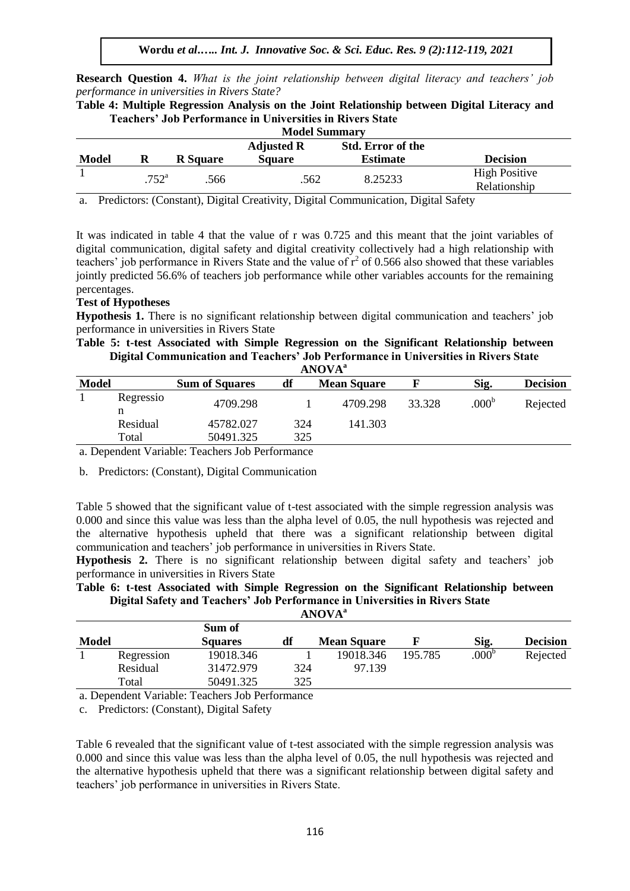**Research Question 4.** *What is the joint relationship between digital literacy and teachers' job performance in universities in Rivers State?*

**Table 4: Multiple Regression Analysis on the Joint Relationship between Digital Literacy and Teachers' Job Performance in Universities in Rivers State**

| <b>Model Summary</b>                          |                        |                 |               |                 |                      |  |  |  |  |
|-----------------------------------------------|------------------------|-----------------|---------------|-----------------|----------------------|--|--|--|--|
| <b>Std. Error of the</b><br><b>Adjusted R</b> |                        |                 |               |                 |                      |  |  |  |  |
| <b>Model</b>                                  |                        | <b>R</b> Square | <b>Square</b> | <b>Estimate</b> | <b>Decision</b>      |  |  |  |  |
|                                               | $.752^{\rm a}$<br>.566 |                 | .562          | 8.25233         | <b>High Positive</b> |  |  |  |  |
|                                               |                        |                 |               |                 | Relationship         |  |  |  |  |

a. Predictors: (Constant), Digital Creativity, Digital Communication, Digital Safety

It was indicated in table 4 that the value of r was 0.725 and this meant that the joint variables of digital communication, digital safety and digital creativity collectively had a high relationship with teachers' job performance in Rivers State and the value of  $r^2$  of 0.566 also showed that these variables jointly predicted 56.6% of teachers job performance while other variables accounts for the remaining percentages.

## **Test of Hypotheses**

**Hypothesis 1.** There is no significant relationship between digital communication and teachers' job performance in universities in Rivers State

**Table 5: t-test Associated with Simple Regression on the Significant Relationship between Digital Communication and Teachers' Job Performance in Universities in Rivers State ANOVA<sup>a</sup>**

|              | AIW VA         |                       |     |                    |        |                   |                 |  |  |  |  |
|--------------|----------------|-----------------------|-----|--------------------|--------|-------------------|-----------------|--|--|--|--|
| <b>Model</b> |                | <b>Sum of Squares</b> | df  | <b>Mean Square</b> |        | Sig.              | <b>Decision</b> |  |  |  |  |
|              | Regressio<br>n | 4709.298              |     | 4709.298           | 33.328 | .000 <sup>b</sup> | Rejected        |  |  |  |  |
|              | Residual       | 45782.027             | 324 | 141.303            |        |                   |                 |  |  |  |  |
|              | Total          | 50491.325             | 325 |                    |        |                   |                 |  |  |  |  |

a. Dependent Variable: Teachers Job Performance

b. Predictors: (Constant), Digital Communication

Table 5 showed that the significant value of t-test associated with the simple regression analysis was 0.000 and since this value was less than the alpha level of 0.05, the null hypothesis was rejected and the alternative hypothesis upheld that there was a significant relationship between digital communication and teachers' job performance in universities in Rivers State.

**Hypothesis 2.** There is no significant relationship between digital safety and teachers' job performance in universities in Rivers State

| Table 6: t-test Associated with Simple Regression on the Significant Relationship between |  |
|-------------------------------------------------------------------------------------------|--|
| Digital Safety and Teachers' Job Performance in Universities in Rivers State              |  |
| $\bf \Delta N\bf OVA^a$                                                                   |  |

|              | .                           |                               |     |                    |         |                   |                 |  |  |  |  |
|--------------|-----------------------------|-------------------------------|-----|--------------------|---------|-------------------|-----------------|--|--|--|--|
|              |                             | Sum of                        |     |                    |         |                   |                 |  |  |  |  |
| <b>Model</b> |                             | <b>Squares</b>                | df  | <b>Mean Square</b> |         | Sig.              | <b>Decision</b> |  |  |  |  |
|              | Regression                  | 19018.346                     |     | 19018.346          | 195.785 | .000 <sup>b</sup> | Rejected        |  |  |  |  |
|              | Residual                    | 31472.979                     | 324 | 97.139             |         |                   |                 |  |  |  |  |
|              | Total                       | 50491.325                     | 325 |                    |         |                   |                 |  |  |  |  |
| $\sqrt{ }$   | $1 \cdot \overline{x}$ $11$ | $\mathbf{r}$<br>$T$ 1 $R$ $c$ |     |                    |         |                   |                 |  |  |  |  |

a. Dependent Variable: Teachers Job Performance

c. Predictors: (Constant), Digital Safety

Table 6 revealed that the significant value of t-test associated with the simple regression analysis was 0.000 and since this value was less than the alpha level of 0.05, the null hypothesis was rejected and the alternative hypothesis upheld that there was a significant relationship between digital safety and teachers' job performance in universities in Rivers State.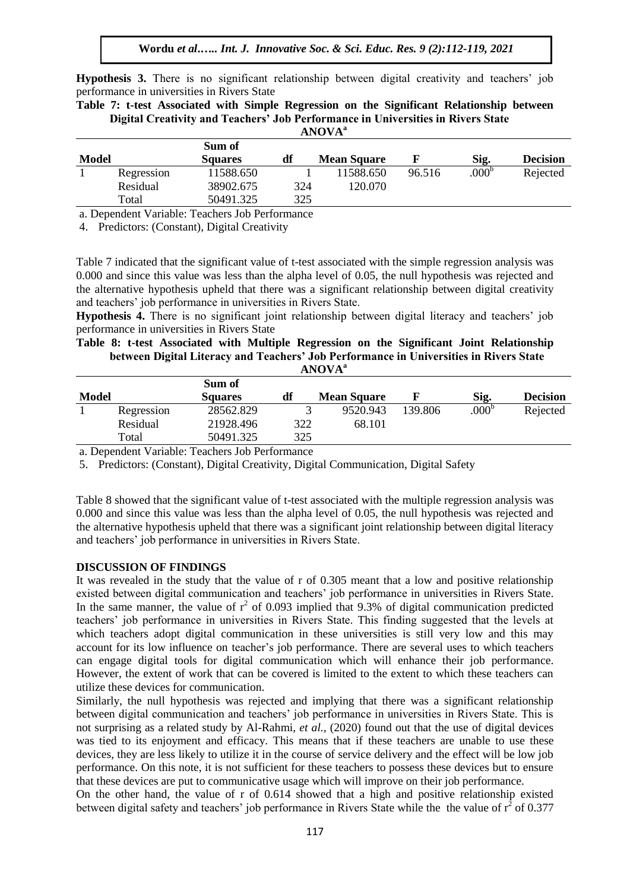**Hypothesis 3.** There is no significant relationship between digital creativity and teachers' job performance in universities in Rivers State

**Table 7: t-test Associated with Simple Regression on the Significant Relationship between Digital Creativity and Teachers' Job Performance in Universities in Rivers State ANOVA<sup>a</sup>**

| <b>Model</b> |            | Sum of<br><b>Squares</b> | df  | <b>Mean Square</b> |        | Sig.           | <b>Decision</b> |
|--------------|------------|--------------------------|-----|--------------------|--------|----------------|-----------------|
|              | Regression | 11588.650                |     | 11588.650          | 96.516 | $.000^{\circ}$ | Rejected        |
|              | Residual   | 38902.675                | 324 | 120.070            |        |                |                 |
|              | Total      | 50491.325                | 325 |                    |        |                |                 |

a. Dependent Variable: Teachers Job Performance

4. Predictors: (Constant), Digital Creativity

Table 7 indicated that the significant value of t-test associated with the simple regression analysis was 0.000 and since this value was less than the alpha level of 0.05, the null hypothesis was rejected and the alternative hypothesis upheld that there was a significant relationship between digital creativity and teachers' job performance in universities in Rivers State.

**Hypothesis 4.** There is no significant joint relationship between digital literacy and teachers' job performance in universities in Rivers State

#### **Table 8: t-test Associated with Multiple Regression on the Significant Joint Relationship between Digital Literacy and Teachers' Job Performance in Universities in Rivers State ANOVA<sup>a</sup>**

| <b>Model</b> |            | Sum of<br><b>Squares</b> | df  | <b>Mean Square</b> |         | Sig.              | <b>Decision</b> |
|--------------|------------|--------------------------|-----|--------------------|---------|-------------------|-----------------|
|              | Regression | 28562.829                |     | 9520.943           | 139.806 | .000 <sup>b</sup> | Rejected        |
|              | Residual   | 21928.496                | 322 | 68.101             |         |                   |                 |
|              | Total      | 50491.325                | 325 |                    |         |                   |                 |

a. Dependent Variable: Teachers Job Performance

5. Predictors: (Constant), Digital Creativity, Digital Communication, Digital Safety

Table 8 showed that the significant value of t-test associated with the multiple regression analysis was 0.000 and since this value was less than the alpha level of 0.05, the null hypothesis was rejected and the alternative hypothesis upheld that there was a significant joint relationship between digital literacy and teachers' job performance in universities in Rivers State.

#### **DISCUSSION OF FINDINGS**

It was revealed in the study that the value of r of 0.305 meant that a low and positive relationship existed between digital communication and teachers' job performance in universities in Rivers State. In the same manner, the value of  $r^2$  of 0.093 implied that 9.3% of digital communication predicted teachers' job performance in universities in Rivers State. This finding suggested that the levels at which teachers adopt digital communication in these universities is still very low and this may account for its low influence on teacher's job performance. There are several uses to which teachers can engage digital tools for digital communication which will enhance their job performance. However, the extent of work that can be covered is limited to the extent to which these teachers can utilize these devices for communication.

Similarly, the null hypothesis was rejected and implying that there was a significant relationship between digital communication and teachers' job performance in universities in Rivers State. This is not surprising as a related study by Al-Rahmi, *et al.,* (2020) found out that the use of digital devices was tied to its enjoyment and efficacy. This means that if these teachers are unable to use these devices, they are less likely to utilize it in the course of service delivery and the effect will be low job performance. On this note, it is not sufficient for these teachers to possess these devices but to ensure that these devices are put to communicative usage which will improve on their job performance.

On the other hand, the value of r of 0.614 showed that a high and positive relationship existed between digital safety and teachers' job performance in Rivers State while the the value of  $r^2$  of 0.377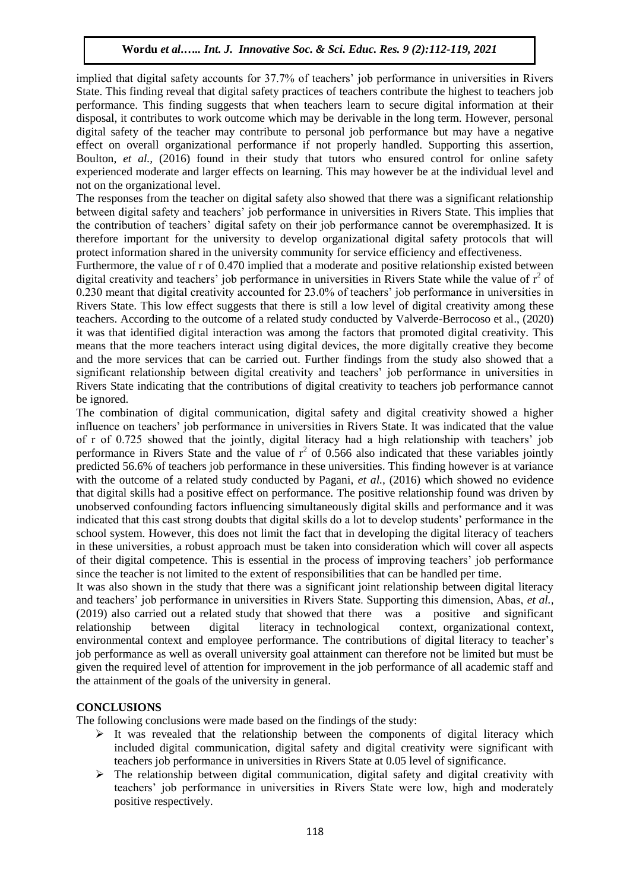implied that digital safety accounts for 37.7% of teachers' job performance in universities in Rivers State. This finding reveal that digital safety practices of teachers contribute the highest to teachers job performance. This finding suggests that when teachers learn to secure digital information at their disposal, it contributes to work outcome which may be derivable in the long term. However, personal digital safety of the teacher may contribute to personal job performance but may have a negative effect on overall organizational performance if not properly handled. Supporting this assertion, Boulton, *et al.,* (2016) found in their study that tutors who ensured control for online safety experienced moderate and larger effects on learning. This may however be at the individual level and not on the organizational level.

The responses from the teacher on digital safety also showed that there was a significant relationship between digital safety and teachers' job performance in universities in Rivers State. This implies that the contribution of teachers' digital safety on their job performance cannot be overemphasized. It is therefore important for the university to develop organizational digital safety protocols that will protect information shared in the university community for service efficiency and effectiveness.

Furthermore, the value of r of 0.470 implied that a moderate and positive relationship existed between digital creativity and teachers' job performance in universities in Rivers State while the value of  $r^2$  of 0.230 meant that digital creativity accounted for 23.0% of teachers' job performance in universities in Rivers State. This low effect suggests that there is still a low level of digital creativity among these teachers. According to the outcome of a related study conducted by Valverde-Berrocoso et al., (2020) it was that identified digital interaction was among the factors that promoted digital creativity. This means that the more teachers interact using digital devices, the more digitally creative they become and the more services that can be carried out. Further findings from the study also showed that a significant relationship between digital creativity and teachers' job performance in universities in Rivers State indicating that the contributions of digital creativity to teachers job performance cannot be ignored.

The combination of digital communication, digital safety and digital creativity showed a higher influence on teachers' job performance in universities in Rivers State. It was indicated that the value of r of 0.725 showed that the jointly, digital literacy had a high relationship with teachers' job performance in Rivers State and the value of  $r^2$  of 0.566 also indicated that these variables jointly predicted 56.6% of teachers job performance in these universities. This finding however is at variance with the outcome of a related study conducted by Pagani, *et al.*, (2016) which showed no evidence that digital skills had a positive effect on performance. The positive relationship found was driven by unobserved confounding factors influencing simultaneously digital skills and performance and it was indicated that this cast strong doubts that digital skills do a lot to develop students' performance in the school system. However, this does not limit the fact that in developing the digital literacy of teachers in these universities, a robust approach must be taken into consideration which will cover all aspects of their digital competence. This is essential in the process of improving teachers' job performance since the teacher is not limited to the extent of responsibilities that can be handled per time.

It was also shown in the study that there was a significant joint relationship between digital literacy and teachers' job performance in universities in Rivers State. Supporting this dimension, Abas, *et al.,* (2019) also carried out a related study that showed that there was a positive and significant relationship between digital literacy in technological context, organizational context, environmental context and employee performance. The contributions of digital literacy to teacher's job performance as well as overall university goal attainment can therefore not be limited but must be given the required level of attention for improvement in the job performance of all academic staff and the attainment of the goals of the university in general.

## **CONCLUSIONS**

The following conclusions were made based on the findings of the study:

- $\triangleright$  It was revealed that the relationship between the components of digital literacy which included digital communication, digital safety and digital creativity were significant with teachers job performance in universities in Rivers State at 0.05 level of significance.
- $\triangleright$  The relationship between digital communication, digital safety and digital creativity with teachers' job performance in universities in Rivers State were low, high and moderately positive respectively.